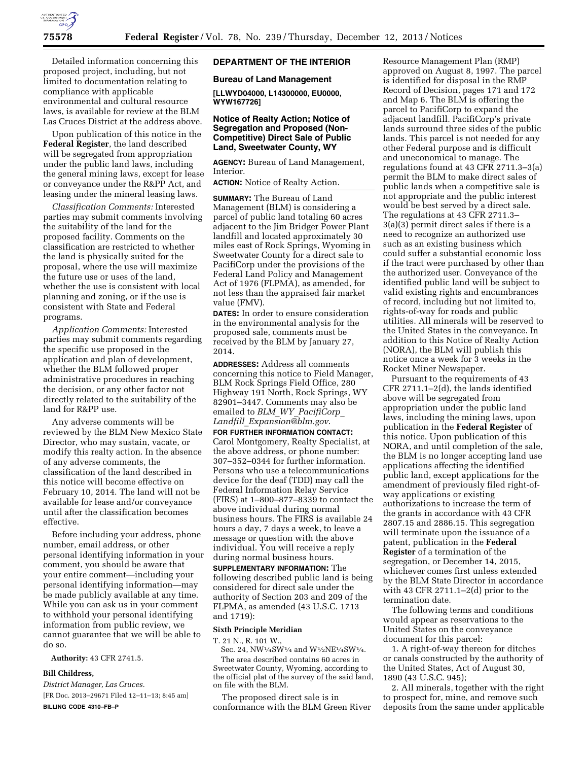

Detailed information concerning this proposed project, including, but not limited to documentation relating to compliance with applicable environmental and cultural resource laws, is available for review at the BLM Las Cruces District at the address above.

Upon publication of this notice in the **Federal Register**, the land described will be segregated from appropriation under the public land laws, including the general mining laws, except for lease or conveyance under the R&PP Act, and leasing under the mineral leasing laws.

*Classification Comments:* Interested parties may submit comments involving the suitability of the land for the proposed facility. Comments on the classification are restricted to whether the land is physically suited for the proposal, where the use will maximize the future use or uses of the land, whether the use is consistent with local planning and zoning, or if the use is consistent with State and Federal programs.

*Application Comments:* Interested parties may submit comments regarding the specific use proposed in the application and plan of development, whether the BLM followed proper administrative procedures in reaching the decision, or any other factor not directly related to the suitability of the land for R&PP use.

Any adverse comments will be reviewed by the BLM New Mexico State Director, who may sustain, vacate, or modify this realty action. In the absence of any adverse comments, the classification of the land described in this notice will become effective on February 10, 2014. The land will not be available for lease and/or conveyance until after the classification becomes effective.

Before including your address, phone number, email address, or other personal identifying information in your comment, you should be aware that your entire comment—including your personal identifying information—may be made publicly available at any time. While you can ask us in your comment to withhold your personal identifying information from public review, we cannot guarantee that we will be able to do so.

**Authority:** 43 CFR 2741.5.

#### **Bill Childress,**

*District Manager, Las Cruces.*  [FR Doc. 2013–29671 Filed 12–11–13; 8:45 am] **BILLING CODE 4310–FB–P** 

## **DEPARTMENT OF THE INTERIOR**

**Bureau of Land Management** 

**[LLWYD04000, L14300000, EU0000, WYW167726]** 

### **Notice of Realty Action; Notice of Segregation and Proposed (Non-Competitive) Direct Sale of Public Land, Sweetwater County, WY**

**AGENCY:** Bureau of Land Management, Interior.

**ACTION:** Notice of Realty Action.

**SUMMARY:** The Bureau of Land Management (BLM) is considering a parcel of public land totaling 60 acres adjacent to the Jim Bridger Power Plant landfill and located approximately 30 miles east of Rock Springs, Wyoming in Sweetwater County for a direct sale to PacifiCorp under the provisions of the Federal Land Policy and Management Act of 1976 (FLPMA), as amended, for not less than the appraised fair market value (FMV).

**DATES:** In order to ensure consideration in the environmental analysis for the proposed sale, comments must be received by the BLM by January 27, 2014.

**ADDRESSES:** Address all comments concerning this notice to Field Manager, BLM Rock Springs Field Office, 280 Highway 191 North, Rock Springs, WY 82901–3447. Comments may also be emailed to *BLM*\_*WY*\_*[PacifiCorp](mailto:BLM_WY_PacifiCorp_Landfill_Expansion@blm.gov)*\_ *Landfill*\_*[Expansion@blm.gov](mailto:BLM_WY_PacifiCorp_Landfill_Expansion@blm.gov)*.

**FOR FURTHER INFORMATION CONTACT:**  Carol Montgomery, Realty Specialist, at the above address, or phone number: 307–352–0344 for further information. Persons who use a telecommunications device for the deaf (TDD) may call the Federal Information Relay Service (FIRS) at 1–800–877–8339 to contact the above individual during normal business hours. The FIRS is available 24 hours a day, 7 days a week, to leave a message or question with the above individual. You will receive a reply during normal business hours.

**SUPPLEMENTARY INFORMATION:** The following described public land is being considered for direct sale under the authority of Section 203 and 209 of the FLPMA, as amended (43 U.S.C. 1713 and 1719):

## **Sixth Principle Meridian**

T. 21 N., R. 101 W.,

Sec. 24, NW1⁄4SW1⁄4 and W1⁄2NE1⁄4SW1⁄4. The area described contains 60 acres in Sweetwater County, Wyoming, according to the official plat of the survey of the said land, on file with the BLM.

The proposed direct sale is in conformance with the BLM Green River

Resource Management Plan (RMP) approved on August 8, 1997. The parcel is identified for disposal in the RMP Record of Decision, pages 171 and 172 and Map 6. The BLM is offering the parcel to PacifiCorp to expand the adjacent landfill. PacifiCorp's private lands surround three sides of the public lands. This parcel is not needed for any other Federal purpose and is difficult and uneconomical to manage. The regulations found at 43 CFR 2711.3–3(a) permit the BLM to make direct sales of public lands when a competitive sale is not appropriate and the public interest would be best served by a direct sale. The regulations at 43 CFR 2711.3– 3(a)(3) permit direct sales if there is a need to recognize an authorized use such as an existing business which could suffer a substantial economic loss if the tract were purchased by other than the authorized user. Conveyance of the identified public land will be subject to valid existing rights and encumbrances of record, including but not limited to, rights-of-way for roads and public utilities. All minerals will be reserved to the United States in the conveyance. In addition to this Notice of Realty Action (NORA), the BLM will publish this notice once a week for 3 weeks in the Rocket Miner Newspaper.

Pursuant to the requirements of 43 CFR 2711.1–2(d), the lands identified above will be segregated from appropriation under the public land laws, including the mining laws, upon publication in the **Federal Register** of this notice. Upon publication of this NORA, and until completion of the sale, the BLM is no longer accepting land use applications affecting the identified public land, except applications for the amendment of previously filed right-ofway applications or existing authorizations to increase the term of the grants in accordance with 43 CFR 2807.15 and 2886.15. This segregation will terminate upon the issuance of a patent, publication in the **Federal Register** of a termination of the segregation, or December 14, 2015, whichever comes first unless extended by the BLM State Director in accordance with 43 CFR 2711.1–2(d) prior to the termination date.

The following terms and conditions would appear as reservations to the United States on the conveyance document for this parcel:

1. A right-of-way thereon for ditches or canals constructed by the authority of the United States, Act of August 30, 1890 (43 U.S.C. 945);

2. All minerals, together with the right to prospect for, mine, and remove such deposits from the same under applicable